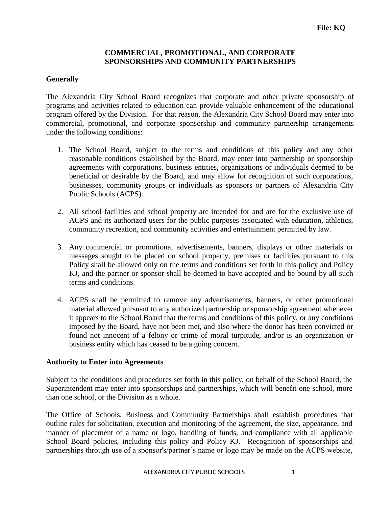# **COMMERCIAL, PROMOTIONAL, AND CORPORATE SPONSORSHIPS AND COMMUNITY PARTNERSHIPS**

## **Generally**

The Alexandria City School Board recognizes that corporate and other private sponsorship of programs and activities related to education can provide valuable enhancement of the educational program offered by the Division. For that reason, the Alexandria City School Board may enter into commercial, promotional, and corporate sponsorship and community partnership arrangements under the following conditions:

- 1. The School Board, subject to the terms and conditions of this policy and any other reasonable conditions established by the Board, may enter into partnership or sponsorship agreements with corporations, business entities, organizations or individuals deemed to be beneficial or desirable by the Board, and may allow for recognition of such corporations, businesses, community groups or individuals as sponsors or partners of Alexandria City Public Schools (ACPS).
- 2. All school facilities and school property are intended for and are for the exclusive use of ACPS and its authorized users for the public purposes associated with education, athletics, community recreation, and community activities and entertainment permitted by law.
- 3. Any commercial or promotional advertisements, banners, displays or other materials or messages sought to be placed on school property, premises or facilities pursuant to this Policy shall be allowed only on the terms and conditions set forth in this policy and Policy KJ, and the partner or sponsor shall be deemed to have accepted and be bound by all such terms and conditions.
- 4. ACPS shall be permitted to remove any advertisements, banners, or other promotional material allowed pursuant to any authorized partnership or sponsorship agreement whenever it appears to the School Board that the terms and conditions of this policy, or any conditions imposed by the Board, have not been met, and also where the donor has been convicted or found not innocent of a felony or crime of moral turpitude, and/or is an organization or business entity which has ceased to be a going concern.

#### **Authority to Enter into Agreements**

Subject to the conditions and procedures set forth in this policy, on behalf of the School Board, the Superintendent may enter into sponsorships and partnerships, which will benefit one school, more than one school, or the Division as a whole.

The Office of Schools, Business and Community Partnerships shall establish procedures that outline rules for solicitation, execution and monitoring of the agreement, the size, appearance, and manner of placement of a name or logo, handling of funds, and compliance with all applicable School Board policies, including this policy and Policy KJ. Recognition of sponsorships and partnerships through use of a sponsor's/partner's name or logo may be made on the ACPS website,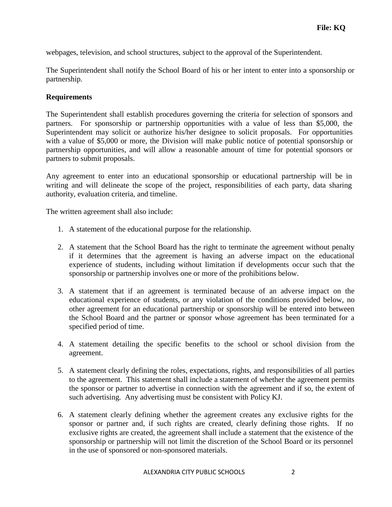webpages, television, and school structures, subject to the approval of the Superintendent.

The Superintendent shall notify the School Board of his or her intent to enter into a sponsorship or partnership.

## **Requirements**

The Superintendent shall establish procedures governing the criteria for selection of sponsors and partners. For sponsorship or partnership opportunities with a value of less than \$5,000, the Superintendent may solicit or authorize his/her designee to solicit proposals. For opportunities with a value of \$5,000 or more, the Division will make public notice of potential sponsorship or partnership opportunities, and will allow a reasonable amount of time for potential sponsors or partners to submit proposals.

Any agreement to enter into an educational sponsorship or educational partnership will be in writing and will delineate the scope of the project, responsibilities of each party, data sharing authority, evaluation criteria, and timeline.

The written agreement shall also include:

- 1. A statement of the educational purpose for the relationship.
- 2. A statement that the School Board has the right to terminate the agreement without penalty if it determines that the agreement is having an adverse impact on the educational experience of students, including without limitation if developments occur such that the sponsorship or partnership involves one or more of the prohibitions below.
- 3. A statement that if an agreement is terminated because of an adverse impact on the educational experience of students, or any violation of the conditions provided below, no other agreement for an educational partnership or sponsorship will be entered into between the School Board and the partner or sponsor whose agreement has been terminated for a specified period of time.
- 4. A statement detailing the specific benefits to the school or school division from the agreement.
- 5. A statement clearly defining the roles, expectations, rights, and responsibilities of all parties to the agreement. This statement shall include a statement of whether the agreement permits the sponsor or partner to advertise in connection with the agreement and if so, the extent of such advertising. Any advertising must be consistent with Policy KJ.
- 6. A statement clearly defining whether the agreement creates any exclusive rights for the sponsor or partner and, if such rights are created, clearly defining those rights. If no exclusive rights are created, the agreement shall include a statement that the existence of the sponsorship or partnership will not limit the discretion of the School Board or its personnel in the use of sponsored or non-sponsored materials.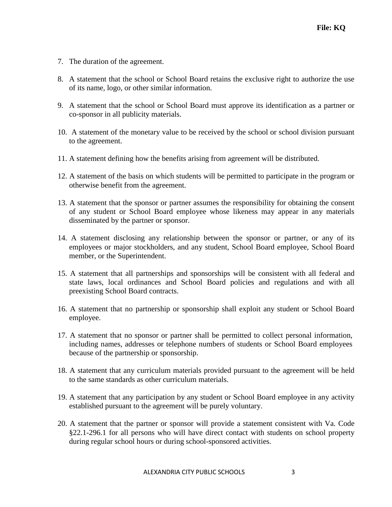- 7. The duration of the agreement.
- 8. A statement that the school or School Board retains the exclusive right to authorize the use of its name, logo, or other similar information.
- 9. A statement that the school or School Board must approve its identification as a partner or co-sponsor in all publicity materials.
- 10. A statement of the monetary value to be received by the school or school division pursuant to the agreement.
- 11. A statement defining how the benefits arising from agreement will be distributed.
- 12. A statement of the basis on which students will be permitted to participate in the program or otherwise benefit from the agreement.
- 13. A statement that the sponsor or partner assumes the responsibility for obtaining the consent of any student or School Board employee whose likeness may appear in any materials disseminated by the partner or sponsor.
- 14. A statement disclosing any relationship between the sponsor or partner, or any of its employees or major stockholders, and any student, School Board employee, School Board member, or the Superintendent.
- 15. A statement that all partnerships and sponsorships will be consistent with all federal and state laws, local ordinances and School Board policies and regulations and with all preexisting School Board contracts.
- 16. A statement that no partnership or sponsorship shall exploit any student or School Board employee.
- 17. A statement that no sponsor or partner shall be permitted to collect personal information, including names, addresses or telephone numbers of students or School Board employees because of the partnership or sponsorship.
- 18. A statement that any curriculum materials provided pursuant to the agreement will be held to the same standards as other curriculum materials.
- 19. A statement that any participation by any student or School Board employee in any activity established pursuant to the agreement will be purely voluntary.
- 20. A statement that the partner or sponsor will provide a statement consistent with Va. Code §22.1-296.1 for all persons who will have direct contact with students on school property during regular school hours or during school-sponsored activities.